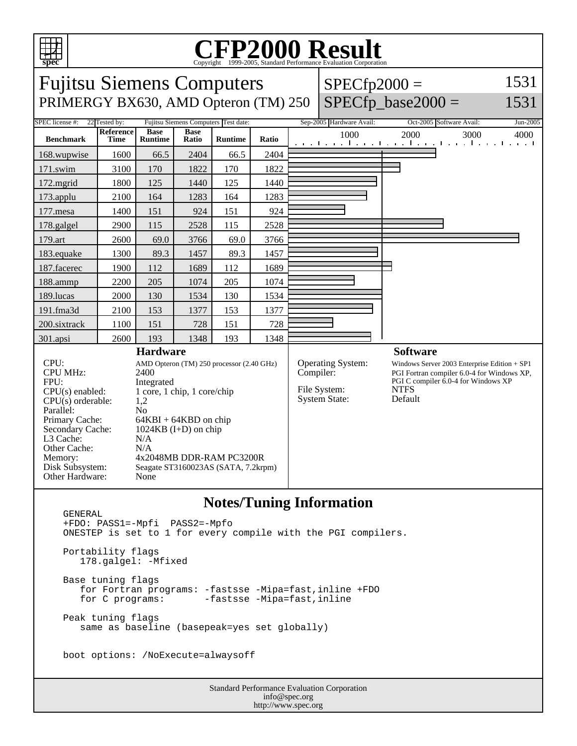

## C<sub>opyright</sub> ©1999-2005, Standard Performance Evaluation Corporation

| 1531<br><b>Fujitsu Siemens Computers</b><br>$SPECfp2000 =$<br>$SPECfp\_base2000 =$<br>1531<br>PRIMERGY BX630, AMD Opteron (TM) 250<br>Sep-2005 Hardware Avail:<br>SPEC license #:<br>22 Tested by:<br>Fujitsu Siemens Computers Test date:<br>Oct-2005 Software Avail:<br><b>Reference</b><br><b>Base</b><br><b>Base</b><br>1000<br>2000<br>3000<br>4000<br><b>Benchmark</b><br><b>Time</b><br><b>Runtime</b><br>Ratio<br>Ratio<br><b>Runtime</b><br>المستحل والمتساوية والمتساوية والمتساوية<br>1. 1<br>2404<br>2404<br>168.wupwise<br>1600<br>66.5<br>66.5<br>170<br>1822<br>170<br>1822<br>171.swim<br>3100<br>172.mgrid<br>1800<br>125<br>1440<br>125<br>1440<br>2100<br>164<br>1283<br>164<br>1283<br>173.applu<br>151<br>151<br>924<br>177.mesa<br>1400<br>924<br>115<br>115<br>2528<br>178.galgel<br>2900<br>2528<br>179.art<br>2600<br>69.0<br>69.0<br>3766<br>3766<br>89.3<br>89.3<br>1457<br>183.equake<br>1300<br>1457<br>187.facerec<br>1900<br>112<br>1689<br>112<br>1689<br>188.ammp<br>2200<br>205<br>1074<br>205<br>1074<br>189.lucas<br>2000<br>130<br>1534<br>130<br>1534<br>191.fma3d<br>153<br>1377<br>1377<br>2100<br>153<br>151<br>151<br>728<br>200.sixtrack<br>1100<br>728<br>2600<br>193<br>1348<br>193<br>1348<br>301.apsi<br><b>Hardware</b><br><b>Software</b><br>CPU:<br>Operating System:<br>AMD Opteron (TM) 250 processor (2.40 GHz)<br>Windows Server 2003 Enterprise Edition $+$ SP1<br><b>CPU MHz:</b><br>2400<br>Compiler:<br>PGI Fortran compiler 6.0-4 for Windows XP,<br>PGI C compiler 6.0-4 for Windows XP<br>FPU:<br>Integrated<br><b>NTFS</b><br>File System:<br>$CPU(s)$ enabled:<br>1 core, 1 chip, 1 core/chip<br>Default<br><b>System State:</b><br>$CPU(s)$ orderable:<br>1,2<br>Parallel:<br>No<br>Primary Cache:<br>$64KBI + 64KBD$ on chip<br>Secondary Cache:<br>$1024KB$ (I+D) on chip<br>L3 Cache:<br>N/A<br>Other Cache:<br>N/A<br>4x2048MB DDR-RAM PC3200R<br>Memory:<br>Disk Subsystem:<br>Seagate ST3160023AS (SATA, 7.2krpm)<br>Other Hardware:<br>None |  |  |  |  |  |  |  |  |  |          |  |
|--------------------------------------------------------------------------------------------------------------------------------------------------------------------------------------------------------------------------------------------------------------------------------------------------------------------------------------------------------------------------------------------------------------------------------------------------------------------------------------------------------------------------------------------------------------------------------------------------------------------------------------------------------------------------------------------------------------------------------------------------------------------------------------------------------------------------------------------------------------------------------------------------------------------------------------------------------------------------------------------------------------------------------------------------------------------------------------------------------------------------------------------------------------------------------------------------------------------------------------------------------------------------------------------------------------------------------------------------------------------------------------------------------------------------------------------------------------------------------------------------------------------------------------------------------------------------------------------------------------------------------------------------------------------------------------------------------------------------------------------------------------------------------------------------------------------------------------------------------------------------------------------------------------------------------------------------------------------------------------------------------------------|--|--|--|--|--|--|--|--|--|----------|--|
|                                                                                                                                                                                                                                                                                                                                                                                                                                                                                                                                                                                                                                                                                                                                                                                                                                                                                                                                                                                                                                                                                                                                                                                                                                                                                                                                                                                                                                                                                                                                                                                                                                                                                                                                                                                                                                                                                                                                                                                                                    |  |  |  |  |  |  |  |  |  |          |  |
|                                                                                                                                                                                                                                                                                                                                                                                                                                                                                                                                                                                                                                                                                                                                                                                                                                                                                                                                                                                                                                                                                                                                                                                                                                                                                                                                                                                                                                                                                                                                                                                                                                                                                                                                                                                                                                                                                                                                                                                                                    |  |  |  |  |  |  |  |  |  |          |  |
|                                                                                                                                                                                                                                                                                                                                                                                                                                                                                                                                                                                                                                                                                                                                                                                                                                                                                                                                                                                                                                                                                                                                                                                                                                                                                                                                                                                                                                                                                                                                                                                                                                                                                                                                                                                                                                                                                                                                                                                                                    |  |  |  |  |  |  |  |  |  | Jun-2005 |  |
|                                                                                                                                                                                                                                                                                                                                                                                                                                                                                                                                                                                                                                                                                                                                                                                                                                                                                                                                                                                                                                                                                                                                                                                                                                                                                                                                                                                                                                                                                                                                                                                                                                                                                                                                                                                                                                                                                                                                                                                                                    |  |  |  |  |  |  |  |  |  |          |  |
|                                                                                                                                                                                                                                                                                                                                                                                                                                                                                                                                                                                                                                                                                                                                                                                                                                                                                                                                                                                                                                                                                                                                                                                                                                                                                                                                                                                                                                                                                                                                                                                                                                                                                                                                                                                                                                                                                                                                                                                                                    |  |  |  |  |  |  |  |  |  |          |  |
|                                                                                                                                                                                                                                                                                                                                                                                                                                                                                                                                                                                                                                                                                                                                                                                                                                                                                                                                                                                                                                                                                                                                                                                                                                                                                                                                                                                                                                                                                                                                                                                                                                                                                                                                                                                                                                                                                                                                                                                                                    |  |  |  |  |  |  |  |  |  |          |  |
|                                                                                                                                                                                                                                                                                                                                                                                                                                                                                                                                                                                                                                                                                                                                                                                                                                                                                                                                                                                                                                                                                                                                                                                                                                                                                                                                                                                                                                                                                                                                                                                                                                                                                                                                                                                                                                                                                                                                                                                                                    |  |  |  |  |  |  |  |  |  |          |  |
|                                                                                                                                                                                                                                                                                                                                                                                                                                                                                                                                                                                                                                                                                                                                                                                                                                                                                                                                                                                                                                                                                                                                                                                                                                                                                                                                                                                                                                                                                                                                                                                                                                                                                                                                                                                                                                                                                                                                                                                                                    |  |  |  |  |  |  |  |  |  |          |  |
|                                                                                                                                                                                                                                                                                                                                                                                                                                                                                                                                                                                                                                                                                                                                                                                                                                                                                                                                                                                                                                                                                                                                                                                                                                                                                                                                                                                                                                                                                                                                                                                                                                                                                                                                                                                                                                                                                                                                                                                                                    |  |  |  |  |  |  |  |  |  |          |  |
|                                                                                                                                                                                                                                                                                                                                                                                                                                                                                                                                                                                                                                                                                                                                                                                                                                                                                                                                                                                                                                                                                                                                                                                                                                                                                                                                                                                                                                                                                                                                                                                                                                                                                                                                                                                                                                                                                                                                                                                                                    |  |  |  |  |  |  |  |  |  |          |  |
|                                                                                                                                                                                                                                                                                                                                                                                                                                                                                                                                                                                                                                                                                                                                                                                                                                                                                                                                                                                                                                                                                                                                                                                                                                                                                                                                                                                                                                                                                                                                                                                                                                                                                                                                                                                                                                                                                                                                                                                                                    |  |  |  |  |  |  |  |  |  |          |  |
|                                                                                                                                                                                                                                                                                                                                                                                                                                                                                                                                                                                                                                                                                                                                                                                                                                                                                                                                                                                                                                                                                                                                                                                                                                                                                                                                                                                                                                                                                                                                                                                                                                                                                                                                                                                                                                                                                                                                                                                                                    |  |  |  |  |  |  |  |  |  |          |  |
|                                                                                                                                                                                                                                                                                                                                                                                                                                                                                                                                                                                                                                                                                                                                                                                                                                                                                                                                                                                                                                                                                                                                                                                                                                                                                                                                                                                                                                                                                                                                                                                                                                                                                                                                                                                                                                                                                                                                                                                                                    |  |  |  |  |  |  |  |  |  |          |  |
|                                                                                                                                                                                                                                                                                                                                                                                                                                                                                                                                                                                                                                                                                                                                                                                                                                                                                                                                                                                                                                                                                                                                                                                                                                                                                                                                                                                                                                                                                                                                                                                                                                                                                                                                                                                                                                                                                                                                                                                                                    |  |  |  |  |  |  |  |  |  |          |  |
|                                                                                                                                                                                                                                                                                                                                                                                                                                                                                                                                                                                                                                                                                                                                                                                                                                                                                                                                                                                                                                                                                                                                                                                                                                                                                                                                                                                                                                                                                                                                                                                                                                                                                                                                                                                                                                                                                                                                                                                                                    |  |  |  |  |  |  |  |  |  |          |  |
|                                                                                                                                                                                                                                                                                                                                                                                                                                                                                                                                                                                                                                                                                                                                                                                                                                                                                                                                                                                                                                                                                                                                                                                                                                                                                                                                                                                                                                                                                                                                                                                                                                                                                                                                                                                                                                                                                                                                                                                                                    |  |  |  |  |  |  |  |  |  |          |  |
|                                                                                                                                                                                                                                                                                                                                                                                                                                                                                                                                                                                                                                                                                                                                                                                                                                                                                                                                                                                                                                                                                                                                                                                                                                                                                                                                                                                                                                                                                                                                                                                                                                                                                                                                                                                                                                                                                                                                                                                                                    |  |  |  |  |  |  |  |  |  |          |  |
|                                                                                                                                                                                                                                                                                                                                                                                                                                                                                                                                                                                                                                                                                                                                                                                                                                                                                                                                                                                                                                                                                                                                                                                                                                                                                                                                                                                                                                                                                                                                                                                                                                                                                                                                                                                                                                                                                                                                                                                                                    |  |  |  |  |  |  |  |  |  |          |  |
|                                                                                                                                                                                                                                                                                                                                                                                                                                                                                                                                                                                                                                                                                                                                                                                                                                                                                                                                                                                                                                                                                                                                                                                                                                                                                                                                                                                                                                                                                                                                                                                                                                                                                                                                                                                                                                                                                                                                                                                                                    |  |  |  |  |  |  |  |  |  |          |  |

## **Notes/Tuning Information**

Standard Performance Evaluation Corporation info@spec.org http://www.spec.org GENERAL +FDO: PASS1=-Mpfi PASS2=-Mpfo ONESTEP is set to 1 for every compile with the PGI compilers. Portability flags 178.galgel: -Mfixed Base tuning flags for Fortran programs: -fastsse -Mipa=fast,inline +FDO for C programs: - fastsse -Mipa=fast, inline Peak tuning flags same as baseline (basepeak=yes set globally) boot options: /NoExecute=alwaysoff